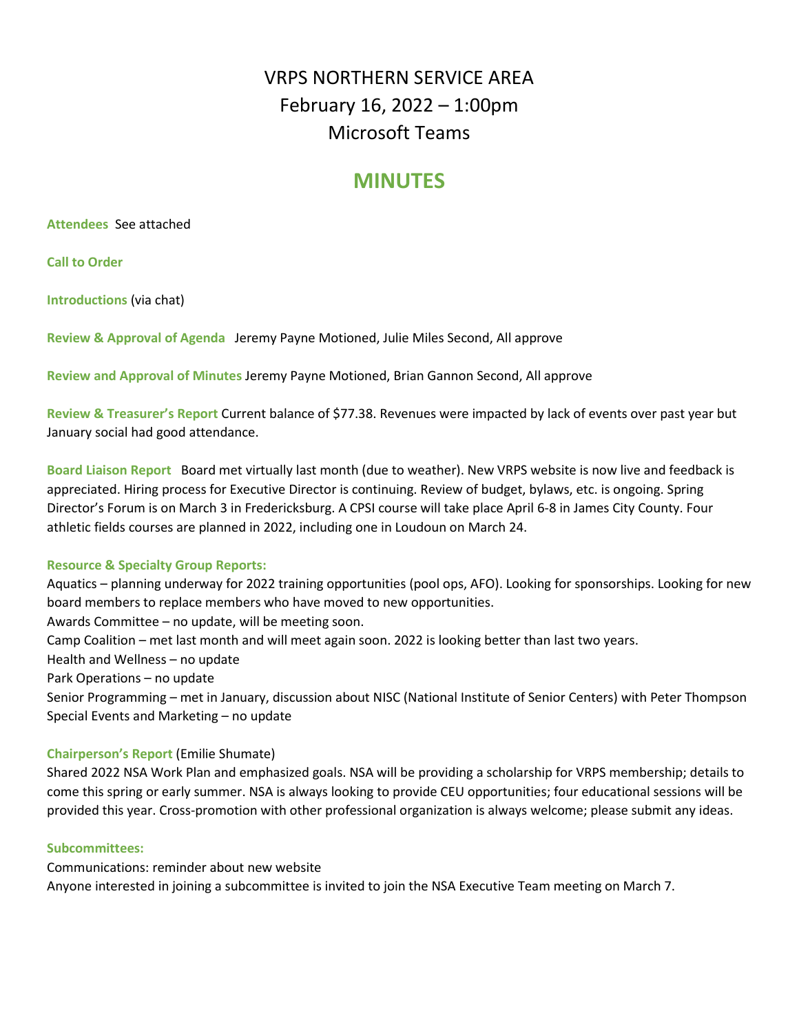# VRPS NORTHERN SERVICE AREA February 16, 2022 – 1:00pm Microsoft Teams

# **MINUTES**

#### **Attendees** See attached

**Call to Order** 

**Introductions** (via chat)

**Review & Approval of Agenda** Jeremy Payne Motioned, Julie Miles Second, All approve

**Review and Approval of Minutes** Jeremy Payne Motioned, Brian Gannon Second, All approve

**Review & Treasurer's Report** Current balance of \$77.38. Revenues were impacted by lack of events over past year but January social had good attendance.

**Board Liaison Report** Board met virtually last month (due to weather). New VRPS website is now live and feedback is appreciated. Hiring process for Executive Director is continuing. Review of budget, bylaws, etc. is ongoing. Spring Director's Forum is on March 3 in Fredericksburg. A CPSI course will take place April 6-8 in James City County. Four athletic fields courses are planned in 2022, including one in Loudoun on March 24.

#### **Resource & Specialty Group Reports:**

Aquatics – planning underway for 2022 training opportunities (pool ops, AFO). Looking for sponsorships. Looking for new board members to replace members who have moved to new opportunities. Awards Committee – no update, will be meeting soon. Camp Coalition – met last month and will meet again soon. 2022 is looking better than last two years. Health and Wellness – no update

Park Operations – no update

Senior Programming – met in January, discussion about NISC (National Institute of Senior Centers) with Peter Thompson Special Events and Marketing – no update

# **Chairperson's Report** (Emilie Shumate)

Shared 2022 NSA Work Plan and emphasized goals. NSA will be providing a scholarship for VRPS membership; details to come this spring or early summer. NSA is always looking to provide CEU opportunities; four educational sessions will be provided this year. Cross-promotion with other professional organization is always welcome; please submit any ideas.

#### **Subcommittees:**

Communications: reminder about new website Anyone interested in joining a subcommittee is invited to join the NSA Executive Team meeting on March 7.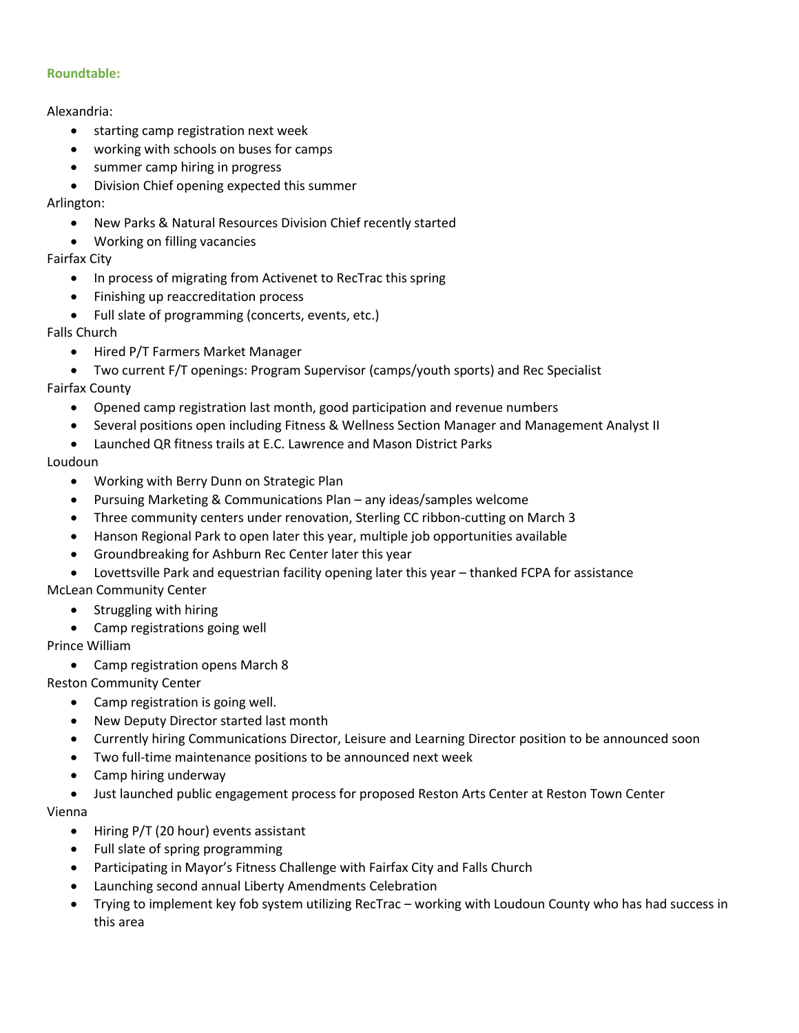#### **Roundtable:**

#### Alexandria:

- starting camp registration next week
- working with schools on buses for camps
- summer camp hiring in progress
- Division Chief opening expected this summer

Arlington:

- New Parks & Natural Resources Division Chief recently started
- Working on filling vacancies

# Fairfax City

- In process of migrating from Activenet to RecTrac this spring
- Finishing up reaccreditation process
- Full slate of programming (concerts, events, etc.)
- Falls Church
	- Hired P/T Farmers Market Manager
	- Two current F/T openings: Program Supervisor (camps/youth sports) and Rec Specialist

# Fairfax County

- Opened camp registration last month, good participation and revenue numbers
- Several positions open including Fitness & Wellness Section Manager and Management Analyst II
- Launched QR fitness trails at E.C. Lawrence and Mason District Parks

# Loudoun

- Working with Berry Dunn on Strategic Plan
- Pursuing Marketing & Communications Plan any ideas/samples welcome
- Three community centers under renovation, Sterling CC ribbon-cutting on March 3
- Hanson Regional Park to open later this year, multiple job opportunities available
- Groundbreaking for Ashburn Rec Center later this year
- Lovettsville Park and equestrian facility opening later this year thanked FCPA for assistance

# McLean Community Center

- Struggling with hiring
- Camp registrations going well

# Prince William

Camp registration opens March 8

# Reston Community Center

- Camp registration is going well.
- New Deputy Director started last month
- Currently hiring Communications Director, Leisure and Learning Director position to be announced soon
- Two full-time maintenance positions to be announced next week
- Camp hiring underway
- Just launched public engagement process for proposed Reston Arts Center at Reston Town Center

Vienna

- Hiring P/T (20 hour) events assistant
- Full slate of spring programming
- Participating in Mayor's Fitness Challenge with Fairfax City and Falls Church
- Launching second annual Liberty Amendments Celebration
- Trying to implement key fob system utilizing RecTrac working with Loudoun County who has had success in this area